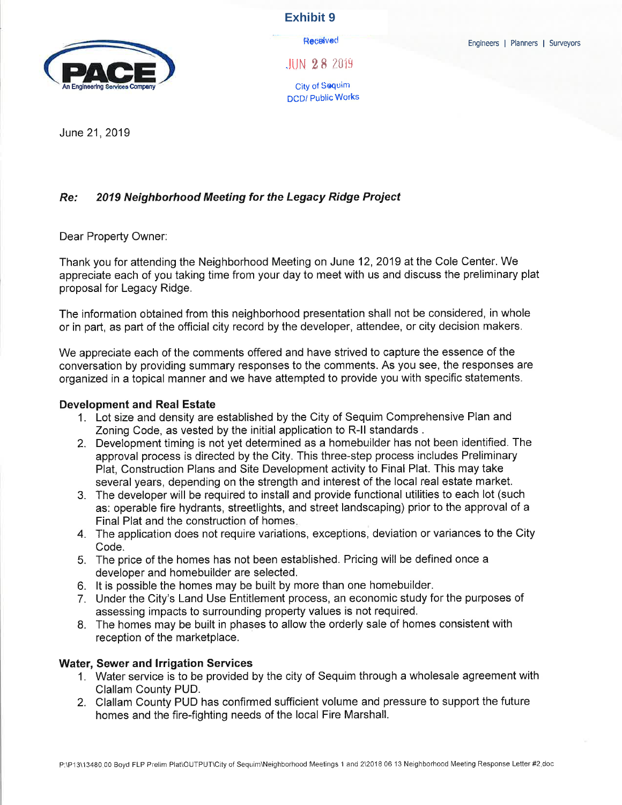

**Exhibit 9**

**Received**  $.$ IUN  $28.2019$ 

City of Sequim DCD/ Public Works

June 21, 2019

## Re.' 2019 Neighborhood Meeting for the Legacy Ridge Proiect

Dear Property Owner:

Thank you for attending the Neighborhood Meeting on June 12,2019 at the Cole Center. We appreciate each of you taking time from your day to meet with us and discuss the preliminary plat proposal for Legacy Ridge.

The information obtained from this neighborhood presentation shall not be considered, in whole or in part, as part of the official city record by the developer, attendee, or city decision makers.

We appreciate each of the comments offered and have strived to capture the essence of the conversation by providing summary responses to the comments. As you see, the responses are organized in a topical manner and we have attempted to provide you with specific statements.

#### Development and Real Estate

- 1. Lot size and density are established by the City of Sequim Comprehensive PIan and Zoning Code, as vested by the initial application to R-ll standards .
- 2. Development timing is not yet determined as a homebuilder has not been identified. The approval process is directed by the City. This three-step process includes Preliminary Plat, Construction Plans and Site Development activity to Final Plat. This may take several years, depending on the strength and interest of the local real estate market.
- 3. The developer will be required to install and provide functional utilities to each lot (such as: operable fire hydrants, streetlights, and street landscaping) prior to the approval of a Final Plat and the construction of homes.
- 4. The application does not require variations, exceptions, deviation or variances to the City Code.
- 5. The price of the homes has not been established. Pricing will be defined once <sup>a</sup> developer and homebuilder are selected.
- 6. lt is possible the homes may be built by more than one homebuilder.
- 7. Under the City's Land Use Entitlement process, an economic study for the purposes of assessing impacts to surrounding property values is not required.
- 8. The homes may be built in phases to allow the orderly sale of homes consistent with reception of the marketplace.

#### Water, Sewer and lrrigation Services

- 1. Water service is to be provided by the city of Sequim through a wholesale agreement with Clallam County PUD.
- 2. Clallam County PUD has confirmed sufficient volume and pressure to support the future homes and the fire-fighting needs of the local Fire Marshall.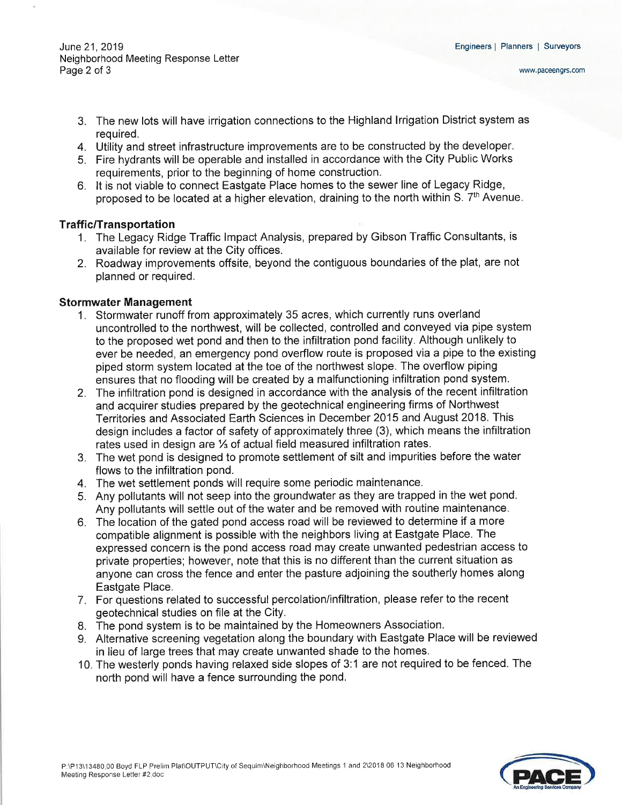June 21,2019 Neighborhood Meeting Response Letter Page 2 of 3

- 3. The new lots will have irrigation connections to the Highland lrrigation District system as required.
- 4. Utility and street infrastructure improvements are to be constructed by the developer.
- 5. Fire hydrants will be operable and installed in accordance with the City Public Works requirements, prior to the beginning of home construction.
- 6. lt is not viable to connect Eastgate Place homes to the sewer line of Legacy Ridge, proposed to be located at a higher elevation, draining to the north within S. 7<sup>th</sup> Avenue.

## Traffic/Transportation

- 1. The Legacy Ridge Traffic lmpact Analysis, prepared by Gibson Traffic Consultants, is available for review at the City offices.
- 2. Roadway improvements offsite, beyond the contiguous boundaries of the plat, are not planned or required.

## Stormwater Management

- 1. Stormwater runoff from approximately 35 acres, which currently runs overland uncontrolled to the northwest, will be collected, controlled and conveyed via pipe system to the proposed wet pond and then to the infiltration pond facility. Although unlikely to ever be needed, an emergency pond overflow route is proposed via a pipe to the existing piped storm system located at the toe of the northwest slope. The overflow piping ensures that no flooding will be created by a malfunctioning infiltration pond system.
- 2. The infiltration pond is designed in accordance with the analysis of the recent infiltration and acquirer studies prepared by the geotechnical engineering firms of Northwest Territories and Associated Earth Sciences in December 2Q15 and August 2018. This design includes a factor of safety of approximately three (3), which means the infiltration rates used in design are  $\frac{1}{3}$  of actual field measured infiltration rates.
- 3. The wet pond is designed to promote settlement of silt and impurities before the water flows to the infiltration pond.
- 4. The wet settlement ponds will require some periodic maintenance.
- 5. Any pollutants will not seep into the groundwater as they are trapped in the wet pond. Any pollutants will settle out of the water and be removed with routine maintenance.
- 6. The location of the gated pond access road will be reviewed to determine if a more compatible alignment is possible with the neighbors living at Eastgate Place. The expressed concern is the pond access road may create unwanted pedestrian access to private properties; however, note that this is no different than the current situation as anyone can cross the fence and enter the pasture adjoining the southerly homes along Eastgate Place.
- 7. For questions related to successful percolation/infiltration, please refer to the recent geotechnical studies on file at the City.
- 8. The pond system is to be maintained by the Homeowners Association.
- 9" Alternative screening vegetation along the boundary with Eastgate Place will be reviewed in lieu of large trees that may create unwanted shade to the homes.
- 10. The westerly ponds having relaxed side slopes of 3:1 are not required to be fenced. The north pond will have a fence surrounding the pond.

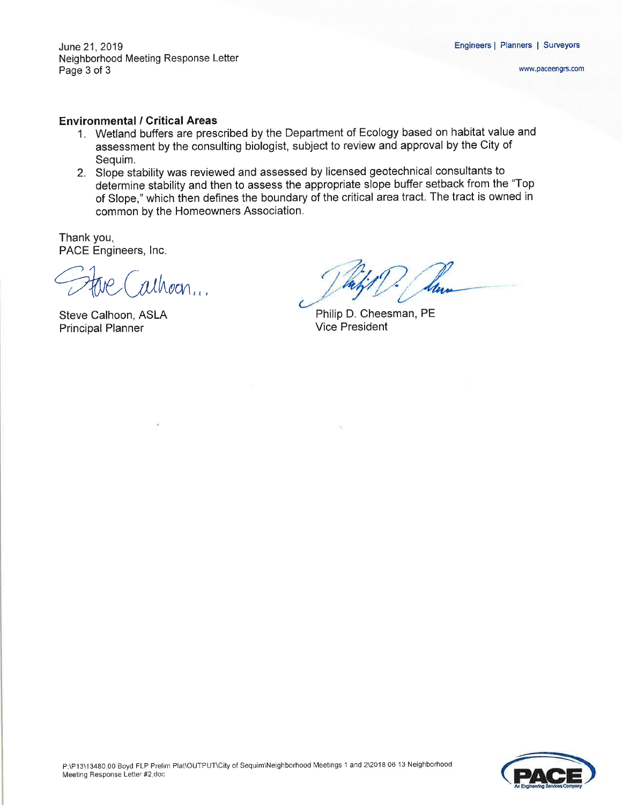June 21, 2019 Neighborhood Meeting Response Letter Page 3 of 3

#### Environmental / Critical Areas

- 1. Wetland buffers are prescribed by the Department of Ecology based on habitat value and assessment by the consulting biologist, subject to review and approval by the City of Sequim.
- 2. Slope stability was reviewed and assessed by licensed geotechnical consultants to determine stability and then to assess the appropriate slope buffer setback from the "Top of Slope," which then defines the boundary of the critical area tract. The tract is owned in common by the Homeowners Association.

Thank you, PACE Engineers, Inc.

 $alhoon...$ 

Steve Calhoon, ASLA Principal Planner

Philip D. Cheesman, PE Vice President